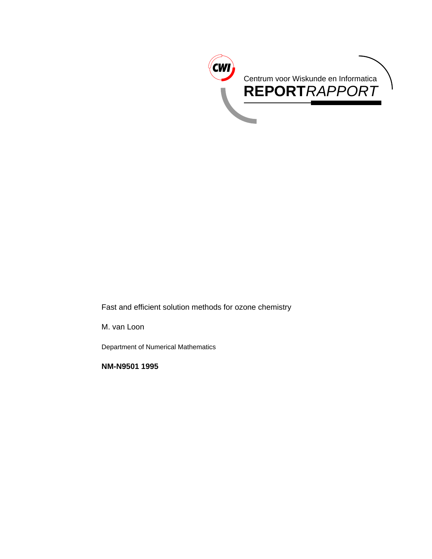

Fast and efficient solution methods for ozone chemistry

M. van Loon

Department of Numerical Mathematics

**NM-N9501 1995**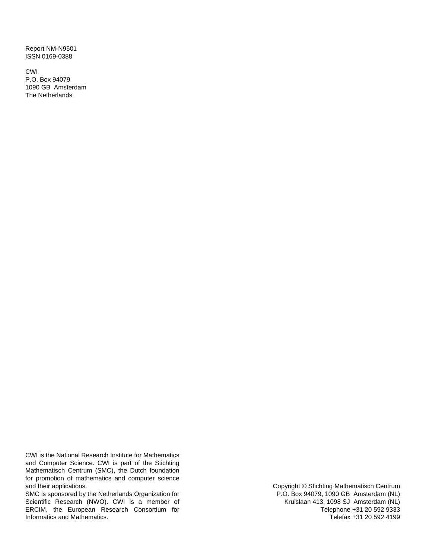Report NM-N9501 ISSN 0169-0388

CWI P.O. Box 94079 1090 GB Amsterdam The Netherlands

CWI is the National Research Institute for Mathematics and Computer Science. CWI is part of the Stichting Mathematisch Centrum (SMC), the Dutch foundation for promotion of mathematics and computer science and their applications.

SMC is sponsored by the Netherlands Organization for Scientific Research (NWO). CWI is a member of ERCIM, the European Research Consortium for Informatics and Mathematics.

Copyright © Stichting Mathematisch Centrum P.O. Box 94079, 1090 GB Amsterdam (NL) Kruislaan 413, 1098 SJ Amsterdam (NL) Telephone +31 20 592 9333 Telefax +31 20 592 4199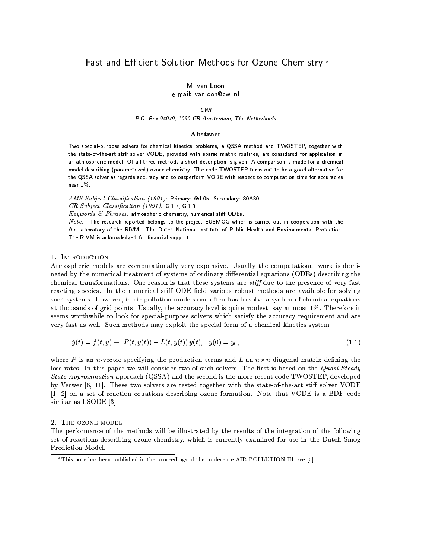# Fast and Efficient Solution Methods for Ozone Chemistry \*

M. van Loon

e-mail: vanloon@cwi.nl

#### CWI

P.O. Box 94079, 1090 GB Amsterdam, The Netherlands

#### Abstract

Two special-purpose solvers for chemical kinetics problems, a QSSA method and TWOSTEP, together with the state-of-the-art stiff solver VODE, provided with sparse matrix routines, are considered for application in an atmospheric model. Of all three methods a short description is given. A comparison is made for a chemical model describing (parametrized) ozone chemistry. The code TWOSTEP turns out to be a good alternative for the QSSA solver as regards accuracy and to outperform VODE with respect to computation time for accuracies near  $1\%$ .

AMS Subject Classification (1991): Primary: 65L05. Secondary: 80A30 CR Subject Classification (1991): G.1.7, G.1.3

 $Keywords$  & Phrases: atmospheric chemistry, numerical stiff ODEs.

Note: The research reported belongs to the project EUSMOG which is carried out in cooperation with the Air Laboratory of the RIVM - The Dutch National Institute of Public Health and Environmental Protection. The RIVM is acknowledged for financial support.

# 1. INTRODUCTION

Atmospheric models are computationally very expensive. Usually the computational work is dominated by the numerical treatment of systems of ordinary differential equations (ODEs) describing the chemical transformations. One reason is that these systems are *stiff* due to the presence of very fast reacting species. In the numerical stiff ODE field various robust methods are available for solving such systems. However, in air pollution models one often has to solve a system of chemical equations at thousands of grid points. Usually, the accuracy level is quite modest, say at most 1%. Therefore it seems worthwhile to look for special-purpose solvers which satisfy the accuracy requirement and are very fast as well. Such methods may exploit the special form of a chemical kinetics system

$$
\dot{y}(t) = f(t, y) \equiv P(t, y(t)) - L(t, y(t)) y(t), \quad y(0) = y_0,\tag{1.1}
$$

where P is an n-vector specifying the production terms and L an  $n \times n$  diagonal matrix defining the loss rates. In this paper we will consider two of such solvers. The first is based on the Quasi Steady State Approximation approach (QSSA) and the second is the more recent code TWOSTEP, developed by Verwer [8, 11]. These two solvers are tested together with the state-of-the-art stiff solver VODE [1, 2] on a set of reaction equations describing ozone formation. Note that VODE is a BDF code similar as LSODE [3].

## 2. THE OZONE MODEL

The performance of the methods will be illustrated by the results of the integration of the following set of reactions describing ozone-chemistry, which is currently examined for use in the Dutch Smog Prediction Model.

<sup>\*</sup>This note has been published in the proceedings of the conference AIR POLLUTION III, see [5].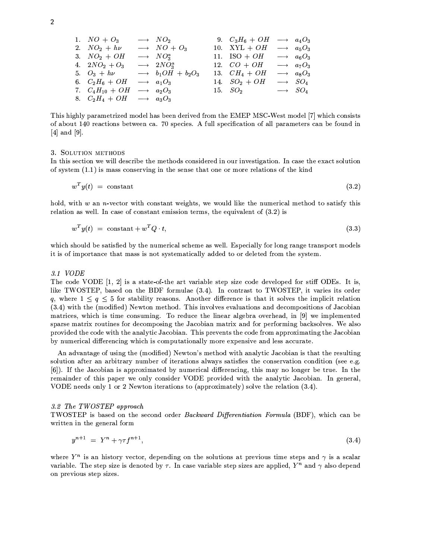1. 
$$
NO + O_3
$$
  $\longrightarrow NO_2$  9.  $C_3H_6 + OH \longrightarrow a_4O_3$   
\n2.  $NO_2 + h\nu$   $\longrightarrow NO + O_3$  10.  $XYL + OH \longrightarrow a_5O_3$   
\n3.  $NO_2 + OH \longrightarrow NO_3^a$  11.  $ISO + OH \longrightarrow a_6O_3$   
\n4.  $2NO_2 + O_3 \longrightarrow 2NO_3^a$  12.  $CO + OH \longrightarrow a_6O_3$   
\n5.  $O_3 + h\nu \longrightarrow b_1OH + b_2O_3$  13.  $CH_4 + OH \longrightarrow a_8O_3$   
\n6.  $C_2H_6 + OH \longrightarrow a_1O_3$  14.  $SO_2 + OH \longrightarrow SO_4$   
\n7.  $C_4H_{10} + OH \longrightarrow a_2O_3$  15.  $SO_2 \longrightarrow SO_4$   
\n8.  $C_2H_4 + OH \longrightarrow a_3O_3$ 

This highly parametrized model has been derived from the EMEP MSC-West model [7] which consists of about 140 reactions between ca. 70 species. A full specification of all parameters can be found in  $[4]$  and  $[9]$ .

#### 3. SOLUTION METHODS

In this section we will describe the methods considered in our investigation. In case the exact solution of system  $(1.1)$  is mass conserving in the sense that one or more relations of the kind

$$
w^T y(t) = \text{constant} \tag{3.2}
$$

hold, with  $w$  an *n*-vector with constant weights, we would like the numerical method to satisfy this relation as well. In case of constant emission terms, the equivalent of  $(3.2)$  is

$$
w^T y(t) = \text{constant} + w^T Q \cdot t,\tag{3.3}
$$

which should be satisfied by the numerical scheme as well. Especially for long range transport models it is of importance that mass is not systematically added to or deleted from the system.

# $3.1 \text{ VODE}$

The code VODE  $[1, 2]$  is a state-of-the art variable step size code developed for stiff ODEs. It is, like TWOSTEP, based on the BDF formulae (3.4). In contrast to TWOSTEP, it varies its order q, where  $1 \leq q \leq 5$  for stability reasons. Another difference is that it solves the implicit relation (3.4) with the (modified) Newton method. This involves evaluations and decompositions of Jacobian matrices, which is time consuming. To reduce the linear algebra overhead, in [9] we implemented sparse matrix routines for decomposing the Jacobian matrix and for performing backsolves. We also provided the code with the analytic Jacobian. This prevents the code from approximating the Jacobian by numerical differencing which is computationally more expensive and less accurate.

An advantage of using the (modified) Newton's method with analytic Jacobian is that the resulting solution after an arbitrary number of iterations always satisfies the conservation condition (see e.g. [6]). If the Jacobian is approximated by numerical differencing, this may no longer be true. In the remainder of this paper we only consider VODE provided with the analytic Jacobian. In general, VODE needs only 1 or 2 Newton iterations to (approximately) solve the relation (3.4).

#### 3.2 The TWOSTEP approach

TWOSTEP is based on the second order Backward Differentiation Formula (BDF), which can be written in the general form

$$
y^{n+1} = Y^n + \gamma \tau f^{n+1}, \tag{3.4}
$$

where  $Y^n$  is an history vector, depending on the solutions at previous time steps and  $\gamma$  is a scalar variable. The step size is denoted by  $\tau$ . In case variable step sizes are applied,  $Y^n$  and  $\gamma$  also depend on previous step sizes.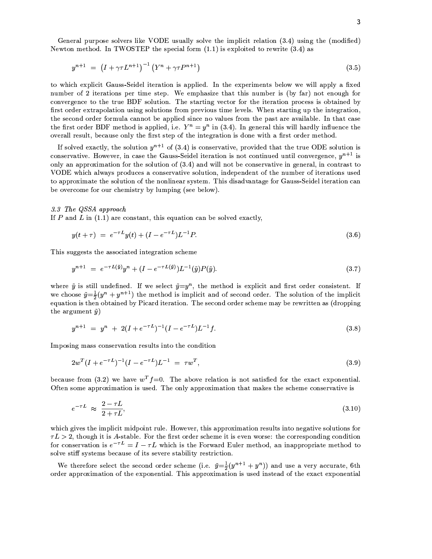General purpose solvers like VODE usually solve the implicit relation (3.4) using the (modified) Newton method. In TWOSTEP the special form  $(1.1)$  is exploited to rewrite  $(3.4)$  as

$$
y^{n+1} = (I + \gamma \tau L^{n+1})^{-1} (Y^n + \gamma \tau P^{n+1})
$$
\n(3.5)

to which explicit Gauss-Seidel iteration is applied. In the experiments below we will apply a fixed number of 2 iterations per time step. We emphasize that this number is (by far) not enough for convergence to the true BDF solution. The starting vector for the iteration process is obtained by first order extrapolation using solutions from previous time levels. When starting up the integration. the second order formula cannot be applied since no values from the past are available. In that case the first order BDF method is applied, i.e.  $Y^n = y^n$  in (3.4). In general this will hardly influence the overall result, because only the first step of the integration is done with a first order method.

If solved exactly, the solution  $y^{n+1}$  of (3.4) is conservative, provided that the true ODE solution is conservative. However, in case the Gauss-Seidel iteration is not continued until convergence,  $y^{n+1}$  is only an approximation for the solution of  $(3.4)$  and will not be conservative in general, in contrast to VODE which always produces a conservative solution, independent of the number of iterations used to approximate the solution of the nonlinear system. This disadvantage for Gauss-Seidel iteration can be overcome for our chemistry by lumping (see below).

#### 3.3 The QSSA approach

If  $P$  and  $L$  in (1.1) are constant, this equation can be solved exactly,

$$
y(t+\tau) = e^{-\tau L}y(t) + (I - e^{-\tau L})L^{-1}P.
$$
\n(3.6)

This suggests the associated integration scheme

$$
y^{n+1} = e^{-\tau L(\tilde{y})}y^n + (I - e^{-\tau L(\tilde{y})})L^{-1}(\tilde{y})P(\tilde{y}).
$$
\n(3.7)

where  $\tilde{y}$  is still undefined. If we select  $\tilde{y}=y^n$ , the method is explicit and first order consistent. If we choose  $\tilde{y} = \frac{1}{2}(y^{n} + y^{n+1})$  the method is implicit and of second order. The solution of the implicit equation is then obtained by Picard iteration. The second order scheme may be rewritten as (dropping the argument  $\tilde{y}$ )

$$
y^{n+1} = y^n + 2(I + e^{-\tau L})^{-1}(I - e^{-\tau L})L^{-1}f.
$$
\n(3.8)

Imposing mass conservation results into the condition

$$
2w^{T}(I + e^{-\tau L})^{-1}(I - e^{-\tau L})L^{-1} = \tau w^{T}, \qquad (3.9)
$$

because from (3.2) we have  $w^T f = 0$ . The above relation is not satisfied for the exact exponential. Often some approximation is used. The only approximation that makes the scheme conservative is

$$
e^{-\tau L} \approx \frac{2-\tau L}{2+\tau L},\tag{3.10}
$$

which gives the implicit midpoint rule. However, this approximation results into negative solutions for  $\tau L > 2$ , though it is A-stable. For the first order scheme it is even worse: the corresponding condition for conservation is  $e^{-\tau L} = I - \tau L$  which is the Forward Euler method, an inappropriate method to solve stiff systems because of its severe stability restriction.

We therefore select the second order scheme (i.e.  $\tilde{y} = \frac{1}{2}(y^{n+1} + y^n)$ ) and use a very accurate, 6th order approximation of the exponential. This approximation is used instead of the exact exponential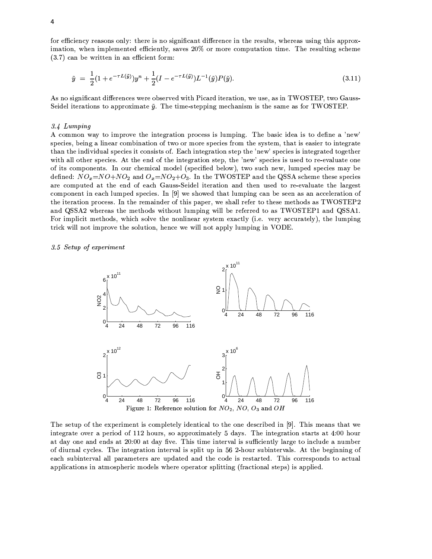for efficiency reasons only: there is no significant difference in the results, whereas using this approximation, when implemented efficiently, saves 20% or more computation time. The resulting scheme  $(3.7)$  can be written in an efficient form:

$$
\tilde{y} = \frac{1}{2} (1 + e^{-\tau L(\tilde{y})}) y^n + \frac{1}{2} (I - e^{-\tau L(\tilde{y})}) L^{-1}(\tilde{y}) P(\tilde{y}). \tag{3.11}
$$

As no significant differences were observed with Picard iteration, we use, as in TWOSTEP, two Gauss-Seidel iterations to approximate  $\tilde{v}$ . The time-stepping mechanism is the same as for TWOSTEP.

#### 3.4 Lumping

A common way to improve the integration process is lumping. The basic idea is to define a 'new' species, being a linear combination of two or more species from the system, that is easier to integrate than the individual species it consists of. Each integration step the 'new' species is integrated together with all other species. At the end of the integration step, the 'new' species is used to re-evaluate one of its components. In our chemical model (specified below), two such new, lumped species may be defined:  $NO_x = NO + NO_2$  and  $O_x = NO_2 + O_3$ . In the TWOSTEP and the QSSA scheme these species are computed at the end of each Gauss-Seidel iteration and then used to re-evaluate the largest component in each lumped species. In [9] we showed that lumping can be seen as an acceleration of the iteration process. In the remainder of this paper, we shall refer to these methods as TWOSTEP2 and QSSA2 whereas the methods without lumping will be referred to as TWOSTEP1 and QSSA1. For implicit methods, which solve the nonlinear system exactly (i.e. very accurately), the lumping trick will not improve the solution, hence we will not apply lumping in VODE.

3.5 Setup of experiment



The setup of the experiment is completely identical to the one described in [9]. This means that we integrate over a period of 112 hours, so approximately 5 days. The integration starts at 4:00 hour at day one and ends at 20:00 at day five. This time interval is sufficiently large to include a number of diurnal cycles. The integration interval is split up in 56 2-hour subintervals. At the beginning of each subinterval all parameters are updated and the code is restarted. This corresponds to actual applications in atmospheric models where operator splitting (fractional steps) is applied.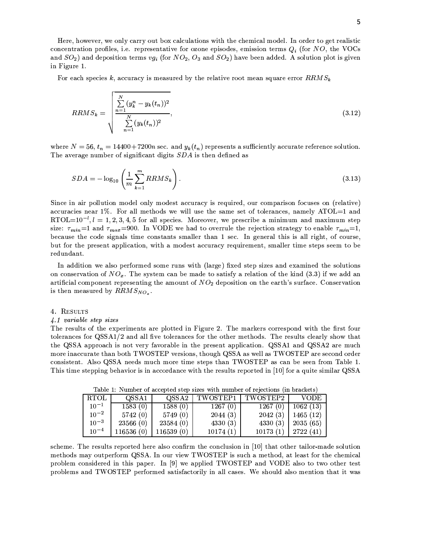Here, however, we only carry out box calculations with the chemical model. In order to get realistic concentration profiles, i.e. representative for ozone episodes, emission terms  $Q_i$  (for NO, the VOCs and  $SO_2$ ) and deposition terms  $vg_i$  (for  $NO_2$ ,  $O_3$  and  $SO_2$ ) have been added. A solution plot is given in Figure 1.

For each species k, accuracy is measured by the relative root mean square error  $RRMS_k$ 

$$
RRMS_k = \sqrt{\frac{\sum_{n=1}^{N} (y_k^n - y_k(t_n))^2}{\sum_{n=1}^{N} (y_k(t_n))^2}},
$$
\n(3.12)

where  $N = 56$ ,  $t_n = 14400 + 7200n$  sec. and  $y_k(t_n)$  represents a sufficiently accurate reference solution. The average number of significant digits SDA is then defined as

$$
SDA = -\log_{10}\left(\frac{1}{m}\sum_{k=1}^{m}RRMS_k\right). \tag{3.13}
$$

Since in air pollution model only modest accuracy is required, our comparison focuses on (relative) accuracies near 1%. For all methods we will use the same set of tolerances, namely ATOL=1 and  $RTOL=10^{-1}$ ,  $l=1,2,3,4,5$  for all species. Moreover, we prescribe a minimum and maximum step size:  $\tau_{min} = 1$  and  $\tau_{max} = 900$ . In VODE we had to overrule the rejection strategy to enable  $\tau_{min} = 1$ , because the code signals time constants smaller than 1 sec. In general this is all right, of course, but for the present application, with a modest accuracy requirement, smaller time steps seem to be redundant.

In addition we also performed some runs with (large) fixed step sizes and examined the solutions on conservation of  $NO_x$ . The system can be made to satisfy a relation of the kind (3.3) if we add an artificial component representing the amount of  $NO<sub>2</sub>$  deposition on the earth's surface. Conservation is then measured by  $RRMS_{NO<sub>z</sub>}$ .

#### 4. RESULTS

## 4.1 variable step sizes

The results of the experiments are plotted in Figure 2. The markers correspond with the first four tolerances for QSSA1/2 and all five tolerances for the other methods. The results clearly show that the QSSA approach is not very favorable in the present application. QSSA1 and QSSA2 are much more inaccurate than both TWOSTEP versions, though QSSA as well as TWOSTEP are second order consistent. Also QSSA needs much more time steps than TWOSTEP as can be seen from Table 1. This time stepping behavior is in accordance with the results reported in [10] for a quite similar QSSA

| RTOL      | QSSA1     | QSSA2      | TWOSTEP1 | TWOSTEP2 | - VODE -    |
|-----------|-----------|------------|----------|----------|-------------|
| $10^{-1}$ | 1583(0)   | 1588(0)    | 1267(0)  | 1267(0)  | 1062(13)    |
| $10^{-2}$ | 5742(0)   | 5749(0)    | 2044(3)  | 2042(3)  | 1465 $(12)$ |
| $10^{-3}$ | 23566(0)  | 23584(0)   | 4330(3)  | 4330(3)  | $2035(65)$  |
| $10^{-4}$ | 116536(0) | 116539 (0) | 10174(1) | 10173(1) | 2722(41)    |

Table 1: Number of accepted step sizes with number of rejections (in brackets)

scheme. The results reported here also confirm the conclusion in [10] that other tailor-made solution methods may outperform QSSA. In our view TWOSTEP is such a method, at least for the chemical problem considered in this paper. In [9] we applied TWOSTEP and VODE also to two other test problems and TWOSTEP performed satisfactorily in all cases. We should also mention that it was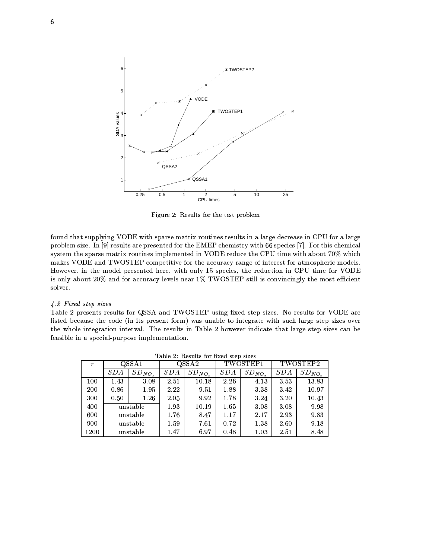

Figure 2: Results for the test problem

found that supplying VODE with sparse matrix routines results in a large decrease in CPU for a large problem size. In [9] results are presented for the EMEP chemistry with 66 species [7]. For this chemical system the sparse matrix routines implemented in VODE reduce the CPU time with about 70% which makes VODE and TWOSTEP competitive for the accuracy range of interest for atmospheric models. However, in the model presented here, with only 15 species, the reduction in CPU time for VODE is only about 20% and for accuracy levels near 1% TWOSTEP still is convincingly the most efficient solver.

# 4.2 Fixed step sizes

Table 2 presents results for QSSA and TWOSTEP using fixed step sizes. No results for VODE are listed because the code (in its present form) was unable to integrate with such large step sizes over the whole integration interval. The results in Table 2 however indicate that large step sizes can be feasible in a special-purpose implementation.

| Table 2. Itesulus for fixed sick sizes |          |             |       |             |          |             |          |             |  |  |  |  |
|----------------------------------------|----------|-------------|-------|-------------|----------|-------------|----------|-------------|--|--|--|--|
| $\tau$                                 | QSSA1    |             | QSSA2 |             | TWOSTEP1 |             | TWOSTEP2 |             |  |  |  |  |
|                                        | SDA      | $SD_{NO_x}$ | SDA   | $SD_{NO_x}$ | SDA      | $SD_{NO_x}$ | SDA      | $SD_{NO_x}$ |  |  |  |  |
| 100                                    | 1.43     | 3.08        | 2.51  | 10.18       | 2.26     | 4.13        | 3.53     | 13.83       |  |  |  |  |
| 200                                    | 0.86     | 1.95        | 2.22  | 9.51        | 1.88     | 3.38        | 3.42     | 10.97       |  |  |  |  |
| 300                                    | 0.50     | $1.26\,$    | 2.05  | 9.92        | 1.78     | 3.24        | 3.20     | 10.43       |  |  |  |  |
| 400                                    | unstable |             | 1.93  | 10.19       | 1.65     | 3.08        | 3.08     | 9.98        |  |  |  |  |
| 600                                    | unstable |             | 1.76  | 8.47        | 1.17     | 2.17        | 2.93     | 9.83        |  |  |  |  |
| 900                                    | unstable |             | 1.59  | 7.61        | 0.72     | 1.38        | 2.60     | 9.18        |  |  |  |  |
| 1200                                   | unstable |             | 1.47  | 6.97        | 0.48     | 1.03        | 2.51     | 8.48        |  |  |  |  |

Table 2: Results for fixed step sizes